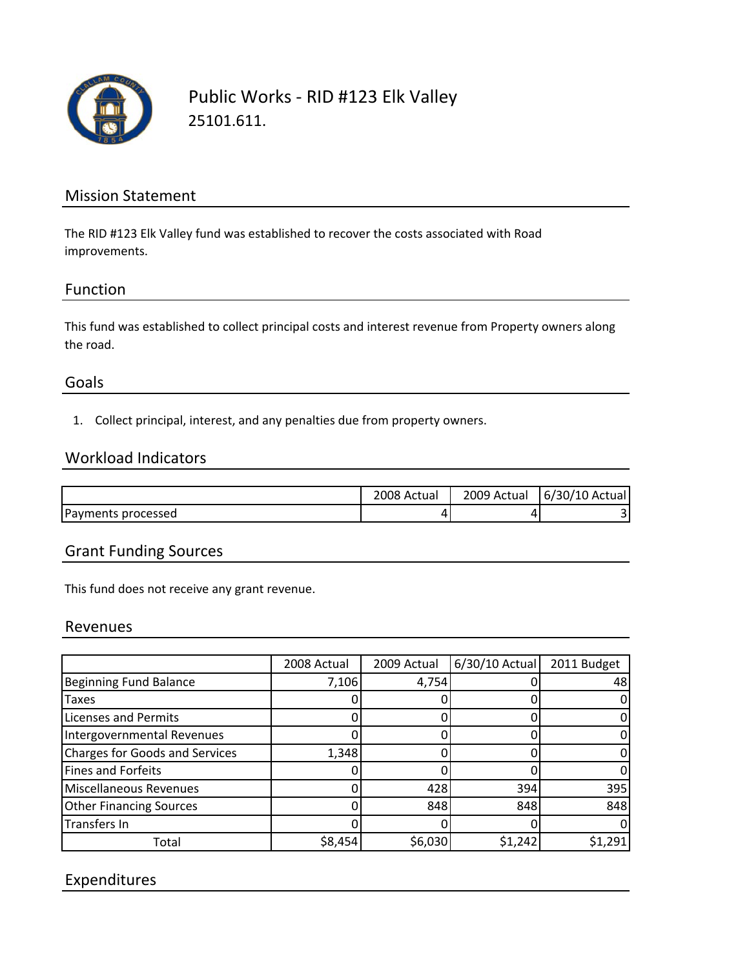

## Public Works ‐ RID #123 Elk Valley 25101.611.

### Mission Statement

The RID #123 Elk Valley fund was established to recover the costs associated with Road improvements.

#### Function

This fund was established to collect principal costs and interest revenue from Property owners along the road.

#### Goals

1. Collect principal, interest, and any penalties due from property owners.

#### Workload Indicators

|                    | 2008 Actual | 2009 Actual | $6/30/10$ Actual |
|--------------------|-------------|-------------|------------------|
| Payments processed | ப           |             |                  |

#### Grant Funding Sources

This fund does not receive any grant revenue.

#### Revenues

|                                       | 2008 Actual | 2009 Actual | $6/30/10$ Actual | 2011 Budget |
|---------------------------------------|-------------|-------------|------------------|-------------|
| <b>Beginning Fund Balance</b>         | 7,106       | 4,754       |                  | 48          |
| <b>Taxes</b>                          |             |             |                  |             |
| <b>Licenses and Permits</b>           |             |             |                  |             |
| Intergovernmental Revenues            |             |             |                  |             |
| <b>Charges for Goods and Services</b> | 1,348       |             |                  |             |
| Fines and Forfeits                    |             |             |                  |             |
| Miscellaneous Revenues                |             | 428         | 394              | 395         |
| <b>Other Financing Sources</b>        |             | 848         | 848              | 848         |
| Transfers In                          |             |             |                  |             |
| Total                                 | \$8,454     | \$6,030     | \$1,242          | \$1,291     |

### Expenditures